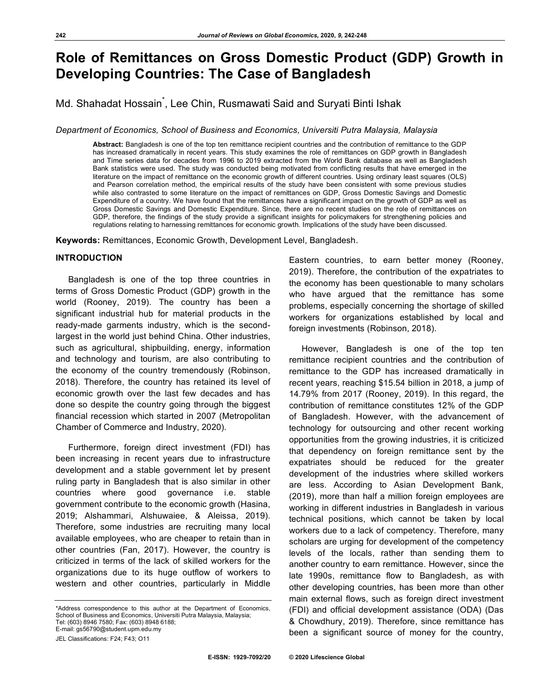# **Role of Remittances on Gross Domestic Product (GDP) Growth in Developing Countries: The Case of Bangladesh**

Md. Shahadat Hossain<sup>\*</sup>, Lee Chin, Rusmawati Said and Suryati Binti Ishak

*Department of Economics, School of Business and Economics, Universiti Putra Malaysia, Malaysia*

**Abstract:** Bangladesh is one of the top ten remittance recipient countries and the contribution of remittance to the GDP has increased dramatically in recent years. This study examines the role of remittances on GDP growth in Bangladesh and Time series data for decades from 1996 to 2019 extracted from the World Bank database as well as Bangladesh Bank statistics were used. The study was conducted being motivated from conflicting results that have emerged in the literature on the impact of remittance on the economic growth of different countries. Using ordinary least squares (OLS) and Pearson correlation method, the empirical results of the study have been consistent with some previous studies while also contrasted to some literature on the impact of remittances on GDP, Gross Domestic Savings and Domestic Expenditure of a country. We have found that the remittances have a significant impact on the growth of GDP as well as Gross Domestic Savings and Domestic Expenditure. Since, there are no recent studies on the role of remittances on GDP, therefore, the findings of the study provide a significant insights for policymakers for strengthening policies and regulations relating to harnessing remittances for economic growth. Implications of the study have been discussed.

**Keywords:** Remittances, Economic Growth, Development Level, Bangladesh.

### **INTRODUCTION**

Bangladesh is one of the top three countries in terms of Gross Domestic Product (GDP) growth in the world (Rooney, 2019). The country has been a significant industrial hub for material products in the ready-made garments industry, which is the secondlargest in the world just behind China. Other industries, such as agricultural, shipbuilding, energy, information and technology and tourism, are also contributing to the economy of the country tremendously (Robinson, 2018). Therefore, the country has retained its level of economic growth over the last few decades and has done so despite the country going through the biggest financial recession which started in 2007 (Metropolitan Chamber of Commerce and Industry, 2020).

Furthermore, foreign direct investment (FDI) has been increasing in recent years due to infrastructure development and a stable government let by present ruling party in Bangladesh that is also similar in other countries where good governance i.e. stable government contribute to the economic growth (Hasina, 2019; Alshammari, Alshuwaiee, & Aleissa, 2019). Therefore, some industries are recruiting many local available employees, who are cheaper to retain than in other countries (Fan, 2017). However, the country is criticized in terms of the lack of skilled workers for the organizations due to its huge outflow of workers to western and other countries, particularly in Middle

JEL Classifications: F24; F43; O11

Eastern countries, to earn better money (Rooney, 2019). Therefore, the contribution of the expatriates to the economy has been questionable to many scholars who have argued that the remittance has some problems, especially concerning the shortage of skilled workers for organizations established by local and foreign investments (Robinson, 2018).

However, Bangladesh is one of the top ten remittance recipient countries and the contribution of remittance to the GDP has increased dramatically in recent years, reaching \$15.54 billion in 2018, a jump of 14.79% from 2017 (Rooney, 2019). In this regard, the contribution of remittance constitutes 12% of the GDP of Bangladesh. However, with the advancement of technology for outsourcing and other recent working opportunities from the growing industries, it is criticized that dependency on foreign remittance sent by the expatriates should be reduced for the greater development of the industries where skilled workers are less. According to Asian Development Bank, (2019), more than half a million foreign employees are working in different industries in Bangladesh in various technical positions, which cannot be taken by local workers due to a lack of competency. Therefore, many scholars are urging for development of the competency levels of the locals, rather than sending them to another country to earn remittance. However, since the late 1990s, remittance flow to Bangladesh, as with other developing countries, has been more than other main external flows, such as foreign direct investment (FDI) and official development assistance (ODA) (Das & Chowdhury, 2019). Therefore, since remittance has been a significant source of money for the country,

<sup>\*</sup>Address correspondence to this author at the Department of Economics, School of Business and Economics, Universiti Putra Malaysia, Malaysia; Tel: (603) 8946 7580; Fax: (603) 8948 6188; E-mail: gs56790@student.upm.edu.my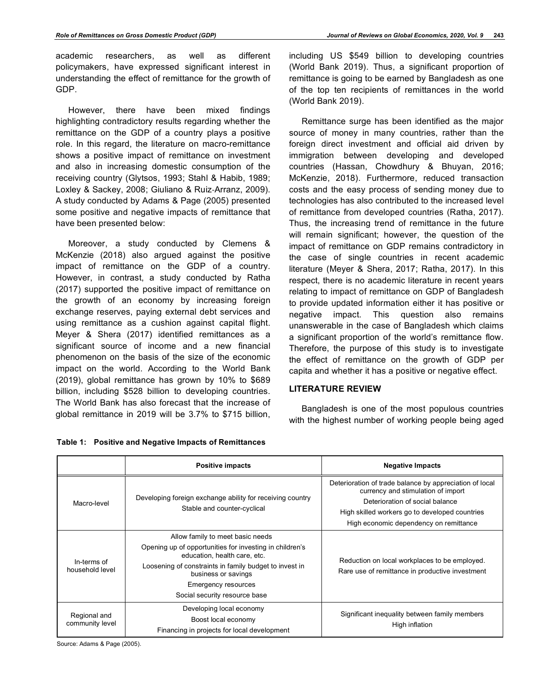academic researchers, as well as different policymakers, have expressed significant interest in understanding the effect of remittance for the growth of GDP.

However, there have been mixed findings highlighting contradictory results regarding whether the remittance on the GDP of a country plays a positive role. In this regard, the literature on macro-remittance shows a positive impact of remittance on investment and also in increasing domestic consumption of the receiving country (Glytsos, 1993; Stahl & Habib, 1989; Loxley & Sackey, 2008; Giuliano & Ruiz-Arranz, 2009). A study conducted by Adams & Page (2005) presented some positive and negative impacts of remittance that have been presented below:

Moreover, a study conducted by Clemens & McKenzie (2018) also argued against the positive impact of remittance on the GDP of a country. However, in contrast, a study conducted by Ratha (2017) supported the positive impact of remittance on the growth of an economy by increasing foreign exchange reserves, paying external debt services and using remittance as a cushion against capital flight. Meyer & Shera (2017) identified remittances as a significant source of income and a new financial phenomenon on the basis of the size of the economic impact on the world. According to the World Bank (2019), global remittance has grown by 10% to \$689 billion, including \$528 billion to developing countries. The World Bank has also forecast that the increase of global remittance in 2019 will be 3.7% to \$715 billion,

including US \$549 billion to developing countries (World Bank 2019). Thus, a significant proportion of remittance is going to be earned by Bangladesh as one of the top ten recipients of remittances in the world (World Bank 2019).

Remittance surge has been identified as the major source of money in many countries, rather than the foreign direct investment and official aid driven by immigration between developing and developed countries (Hassan, Chowdhury & Bhuyan, 2016; McKenzie, 2018). Furthermore, reduced transaction costs and the easy process of sending money due to technologies has also contributed to the increased level of remittance from developed countries (Ratha, 2017). Thus, the increasing trend of remittance in the future will remain significant; however, the question of the impact of remittance on GDP remains contradictory in the case of single countries in recent academic literature (Meyer & Shera, 2017; Ratha, 2017). In this respect, there is no academic literature in recent years relating to impact of remittance on GDP of Bangladesh to provide updated information either it has positive or negative impact. This question also remains unanswerable in the case of Bangladesh which claims a significant proportion of the world's remittance flow. Therefore, the purpose of this study is to investigate the effect of remittance on the growth of GDP per capita and whether it has a positive or negative effect.

# **LITERATURE REVIEW**

Bangladesh is one of the most populous countries with the highest number of working people being aged

|                                 | <b>Positive impacts</b>                                                                                                                                                                                                                                              | <b>Negative Impacts</b>                                                                                                                                                                                                      |
|---------------------------------|----------------------------------------------------------------------------------------------------------------------------------------------------------------------------------------------------------------------------------------------------------------------|------------------------------------------------------------------------------------------------------------------------------------------------------------------------------------------------------------------------------|
| Macro-level                     | Developing foreign exchange ability for receiving country<br>Stable and counter-cyclical                                                                                                                                                                             | Deterioration of trade balance by appreciation of local<br>currency and stimulation of import<br>Deterioration of social balance<br>High skilled workers go to developed countries<br>High economic dependency on remittance |
| In-terms of<br>household level  | Allow family to meet basic needs<br>Opening up of opportunities for investing in children's<br>education, health care, etc.<br>Loosening of constraints in family budget to invest in<br>business or savings<br>Emergency resources<br>Social security resource base | Reduction on local workplaces to be employed.<br>Rare use of remittance in productive investment                                                                                                                             |
| Regional and<br>community level | Developing local economy<br>Boost local economy<br>Financing in projects for local development                                                                                                                                                                       | Significant inequality between family members<br>High inflation                                                                                                                                                              |

|  | Table 1: Positive and Negative Impacts of Remittances |  |  |
|--|-------------------------------------------------------|--|--|
|--|-------------------------------------------------------|--|--|

Source: Adams & Page (2005).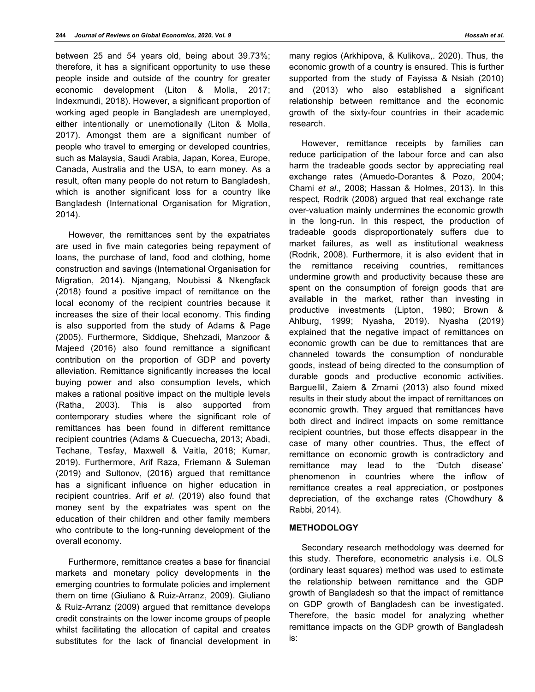between 25 and 54 years old, being about 39.73%; therefore, it has a significant opportunity to use these people inside and outside of the country for greater economic development (Liton & Molla, 2017; Indexmundi, 2018). However, a significant proportion of working aged people in Bangladesh are unemployed, either intentionally or unemotionally (Liton & Molla, 2017). Amongst them are a significant number of people who travel to emerging or developed countries, such as Malaysia, Saudi Arabia, Japan, Korea, Europe, Canada, Australia and the USA, to earn money. As a result, often many people do not return to Bangladesh, which is another significant loss for a country like Bangladesh (International Organisation for Migration, 2014).

However, the remittances sent by the expatriates are used in five main categories being repayment of loans, the purchase of land, food and clothing, home construction and savings (International Organisation for Migration, 2014). Njangang, Noubissi & Nkengfack (2018) found a positive impact of remittance on the local economy of the recipient countries because it increases the size of their local economy. This finding is also supported from the study of Adams & Page (2005). Furthermore, Siddique, Shehzadi, Manzoor & Majeed (2016) also found remittance a significant contribution on the proportion of GDP and poverty alleviation. Remittance significantly increases the local buying power and also consumption levels, which makes a rational positive impact on the multiple levels (Ratha, 2003). This is also supported from contemporary studies where the significant role of remittances has been found in different remittance recipient countries (Adams & Cuecuecha, 2013; Abadi, Techane, Tesfay, Maxwell & Vaitla, 2018; Kumar, 2019). Furthermore, Arif Raza, Friemann & Suleman (2019) and Sultonov, (2016) argued that remittance has a significant influence on higher education in recipient countries. Arif *et al*. (2019) also found that money sent by the expatriates was spent on the education of their children and other family members who contribute to the long-running development of the overall economy.

Furthermore, remittance creates a base for financial markets and monetary policy developments in the emerging countries to formulate policies and implement them on time (Giuliano & Ruiz-Arranz, 2009). Giuliano & Ruiz-Arranz (2009) argued that remittance develops credit constraints on the lower income groups of people whilst facilitating the allocation of capital and creates substitutes for the lack of financial development in

many regios (Arkhipova, & Kulikova,. 2020). Thus, the economic growth of a country is ensured. This is further supported from the study of Fayissa & Nsiah (2010) and (2013) who also established a significant relationship between remittance and the economic growth of the sixty-four countries in their academic research.

However, remittance receipts by families can reduce participation of the labour force and can also harm the tradeable goods sector by appreciating real exchange rates (Amuedo-Dorantes & Pozo, 2004; Chami *et al*., 2008; Hassan & Holmes, 2013). In this respect, Rodrik (2008) argued that real exchange rate over-valuation mainly undermines the economic growth in the long-run. In this respect, the production of tradeable goods disproportionately suffers due to market failures, as well as institutional weakness (Rodrik, 2008). Furthermore, it is also evident that in the remittance receiving countries, remittances undermine growth and productivity because these are spent on the consumption of foreign goods that are available in the market, rather than investing in productive investments (Lipton, 1980; Brown & Ahlburg, 1999; Nyasha, 2019). Nyasha (2019) explained that the negative impact of remittances on economic growth can be due to remittances that are channeled towards the consumption of nondurable goods, instead of being directed to the consumption of durable goods and productive economic activities. Barguellil, Zaiem & Zmami (2013) also found mixed results in their study about the impact of remittances on economic growth. They argued that remittances have both direct and indirect impacts on some remittance recipient countries, but those effects disappear in the case of many other countries. Thus, the effect of remittance on economic growth is contradictory and remittance may lead to the 'Dutch disease' phenomenon in countries where the inflow of remittance creates a real appreciation, or postpones depreciation, of the exchange rates (Chowdhury & Rabbi, 2014).

#### **METHODOLOGY**

Secondary research methodology was deemed for this study. Therefore, econometric analysis i.e. OLS (ordinary least squares) method was used to estimate the relationship between remittance and the GDP growth of Bangladesh so that the impact of remittance on GDP growth of Bangladesh can be investigated. Therefore, the basic model for analyzing whether remittance impacts on the GDP growth of Bangladesh is: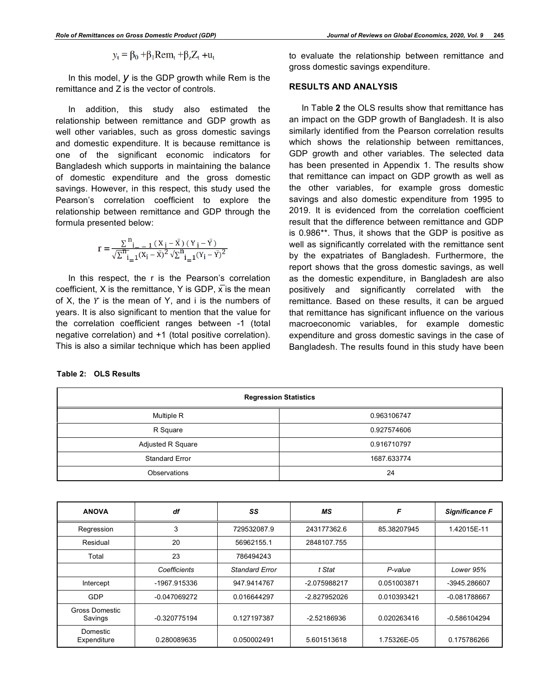$$
y_t = \beta_0 + \beta_1 \text{Rem}_t + \beta_z Z_t + u_t
$$

In this model, *y* is the GDP growth while Rem is the remittance and Z is the vector of controls.

In addition, this study also estimated the relationship between remittance and GDP growth as well other variables, such as gross domestic savings and domestic expenditure. It is because remittance is one of the significant economic indicators for Bangladesh which supports in maintaining the balance of domestic expenditure and the gross domestic savings. However, in this respect, this study used the Pearson's correlation coefficient to explore the relationship between remittance and GDP through the formula presented below:

$$
r = \frac{\sum_{i=1}^{n} (x_i - \bar{x})(y_i - \bar{y})}{\sqrt{\sum_{i=1}^{n} (x_i - \bar{x})^2} \sqrt{\sum_{i=1}^{n} (y_i - \bar{y})^2}}
$$

In this respect, the r is the Pearson's correlation coefficient, X is the remittance, Y is GDP,  $\overline{x}$  is the mean of X, the  $Y$  is the mean of Y, and i is the numbers of years. It is also significant to mention that the value for the correlation coefficient ranges between -1 (total negative correlation) and +1 (total positive correlation). This is also a similar technique which has been applied

|  | to evaluate the relationship between remittance and |  |  |
|--|-----------------------------------------------------|--|--|
|  | gross domestic savings expenditure.                 |  |  |

## **RESULTS AND ANALYSIS**

In Table **2** the OLS results show that remittance has an impact on the GDP growth of Bangladesh. It is also similarly identified from the Pearson correlation results which shows the relationship between remittances, GDP growth and other variables. The selected data has been presented in Appendix 1. The results show that remittance can impact on GDP growth as well as the other variables, for example gross domestic savings and also domestic expenditure from 1995 to 2019. It is evidenced from the correlation coefficient result that the difference between remittance and GDP is 0.986\*\*. Thus, it shows that the GDP is positive as well as significantly correlated with the remittance sent by the expatriates of Bangladesh. Furthermore, the report shows that the gross domestic savings, as well as the domestic expenditure, in Bangladesh are also positively and significantly correlated with the remittance. Based on these results, it can be argued that remittance has significant influence on the various macroeconomic variables, for example domestic expenditure and gross domestic savings in the case of Bangladesh. The results found in this study have been

| <b>Regression Statistics</b> |             |  |  |  |
|------------------------------|-------------|--|--|--|
| Multiple R                   | 0.963106747 |  |  |  |
| R Square                     | 0.927574606 |  |  |  |
| Adjusted R Square            | 0.916710797 |  |  |  |
| <b>Standard Error</b>        | 1687.633774 |  |  |  |
| Observations                 | 24          |  |  |  |

| <b>ANOVA</b>              | df             | SS                    | MS            | F           | <b>Significance F</b> |
|---------------------------|----------------|-----------------------|---------------|-------------|-----------------------|
| Regression                | 3              | 729532087.9           | 243177362.6   | 85.38207945 | 1.42015E-11           |
| Residual                  | 20             | 56962155.1            | 2848107.755   |             |                       |
| Total                     | 23             | 786494243             |               |             |                       |
|                           | Coefficients   | <b>Standard Error</b> | t Stat        | P-value     | Lower 95%             |
| Intercept                 | -1967.915336   | 947.9414767           | -2.075988217  | 0.051003871 | -3945.286607          |
| GDP                       | -0.047069272   | 0.016644297           | -2.827952026  | 0.010393421 | $-0.081788667$        |
| Gross Domestic<br>Savings | $-0.320775194$ | 0.127197387           | $-2.52186936$ | 0.020263416 | $-0.586104294$        |
| Domestic<br>Expenditure   | 0.280089635    | 0.050002491           | 5.601513618   | 1.75326E-05 | 0.175786266           |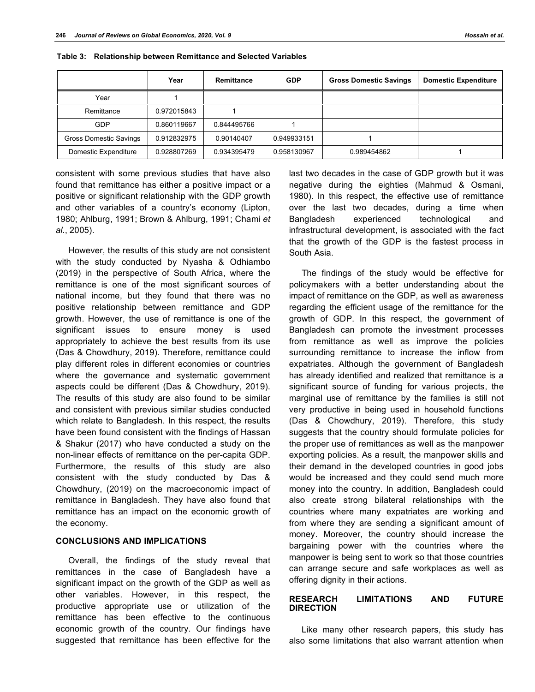|                        | Year        | Remittance  | <b>GDP</b>  | <b>Gross Domestic Savings</b> | <b>Domestic Expenditure</b> |
|------------------------|-------------|-------------|-------------|-------------------------------|-----------------------------|
| Year                   |             |             |             |                               |                             |
| Remittance             | 0.972015843 |             |             |                               |                             |
| <b>GDP</b>             | 0.860119667 | 0.844495766 |             |                               |                             |
| Gross Domestic Savings | 0.912832975 | 0.90140407  | 0.949933151 |                               |                             |
| Domestic Expenditure   | 0.928807269 | 0.934395479 | 0.958130967 | 0.989454862                   |                             |

**Table 3: Relationship between Remittance and Selected Variables**

consistent with some previous studies that have also found that remittance has either a positive impact or a positive or significant relationship with the GDP growth and other variables of a country's economy (Lipton, 1980; Ahlburg, 1991; Brown & Ahlburg, 1991; Chami *et al*., 2005).

However, the results of this study are not consistent with the study conducted by Nyasha & Odhiambo (2019) in the perspective of South Africa, where the remittance is one of the most significant sources of national income, but they found that there was no positive relationship between remittance and GDP growth. However, the use of remittance is one of the significant issues to ensure money is used appropriately to achieve the best results from its use (Das & Chowdhury, 2019). Therefore, remittance could play different roles in different economies or countries where the governance and systematic government aspects could be different (Das & Chowdhury, 2019). The results of this study are also found to be similar and consistent with previous similar studies conducted which relate to Bangladesh. In this respect, the results have been found consistent with the findings of Hassan & Shakur (2017) who have conducted a study on the non-linear effects of remittance on the per-capita GDP. Furthermore, the results of this study are also consistent with the study conducted by Das & Chowdhury, (2019) on the macroeconomic impact of remittance in Bangladesh. They have also found that remittance has an impact on the economic growth of the economy.

# **CONCLUSIONS AND IMPLICATIONS**

Overall, the findings of the study reveal that remittances in the case of Bangladesh have a significant impact on the growth of the GDP as well as other variables. However, in this respect, the productive appropriate use or utilization of the remittance has been effective to the continuous economic growth of the country. Our findings have suggested that remittance has been effective for the

last two decades in the case of GDP growth but it was negative during the eighties (Mahmud & Osmani, 1980). In this respect, the effective use of remittance over the last two decades, during a time when Bangladesh experienced technological and infrastructural development, is associated with the fact that the growth of the GDP is the fastest process in South Asia.

The findings of the study would be effective for policymakers with a better understanding about the impact of remittance on the GDP, as well as awareness regarding the efficient usage of the remittance for the growth of GDP. In this respect, the government of Bangladesh can promote the investment processes from remittance as well as improve the policies surrounding remittance to increase the inflow from expatriates. Although the government of Bangladesh has already identified and realized that remittance is a significant source of funding for various projects, the marginal use of remittance by the families is still not very productive in being used in household functions (Das & Chowdhury, 2019). Therefore, this study suggests that the country should formulate policies for the proper use of remittances as well as the manpower exporting policies. As a result, the manpower skills and their demand in the developed countries in good jobs would be increased and they could send much more money into the country. In addition, Bangladesh could also create strong bilateral relationships with the countries where many expatriates are working and from where they are sending a significant amount of money. Moreover, the country should increase the bargaining power with the countries where the manpower is being sent to work so that those countries can arrange secure and safe workplaces as well as offering dignity in their actions.

#### **RESEARCH LIMITATIONS AND FUTURE DIRECTION**

Like many other research papers, this study has also some limitations that also warrant attention when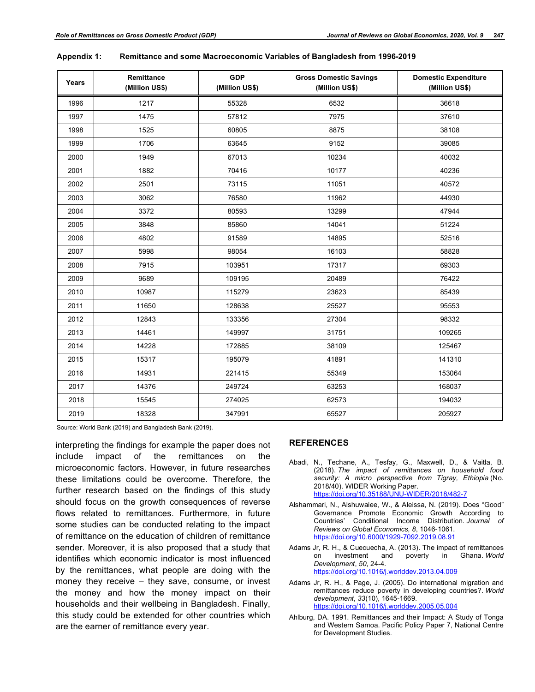| Years | Remittance<br>(Million US\$) | <b>GDP</b><br>(Million US\$) | <b>Gross Domestic Savings</b><br>(Million US\$) | <b>Domestic Expenditure</b><br>(Million US\$) |
|-------|------------------------------|------------------------------|-------------------------------------------------|-----------------------------------------------|
| 1996  | 1217                         | 55328                        | 6532                                            | 36618                                         |
| 1997  | 1475                         | 57812                        | 7975                                            | 37610                                         |
| 1998  | 1525                         | 60805                        | 8875                                            | 38108                                         |
| 1999  | 1706                         | 63645                        | 9152                                            | 39085                                         |
| 2000  | 1949                         | 67013                        | 10234                                           | 40032                                         |
| 2001  | 1882                         | 70416                        | 10177                                           | 40236                                         |
| 2002  | 2501                         | 73115                        | 11051                                           | 40572                                         |
| 2003  | 3062                         | 76580                        | 11962                                           | 44930                                         |
| 2004  | 3372                         | 80593                        | 13299                                           | 47944                                         |
| 2005  | 3848                         | 85860                        | 14041                                           | 51224                                         |
| 2006  | 4802                         | 91589                        | 14895                                           | 52516                                         |
| 2007  | 5998                         | 98054                        | 16103                                           | 58828                                         |
| 2008  | 7915                         | 103951                       | 17317                                           | 69303                                         |
| 2009  | 9689                         | 109195                       | 20489                                           | 76422                                         |
| 2010  | 10987                        | 115279                       | 23623                                           | 85439                                         |
| 2011  | 11650                        | 128638                       | 25527                                           | 95553                                         |
| 2012  | 12843                        | 133356                       | 27304                                           | 98332                                         |
| 2013  | 14461                        | 149997                       | 31751                                           | 109265                                        |
| 2014  | 14228                        | 172885                       | 38109                                           | 125467                                        |
| 2015  | 15317                        | 195079                       | 41891                                           | 141310                                        |
| 2016  | 14931                        | 221415                       | 55349                                           | 153064                                        |
| 2017  | 14376                        | 249724                       | 63253                                           | 168037                                        |
| 2018  | 15545                        | 274025                       | 62573                                           | 194032                                        |
| 2019  | 18328                        | 347991                       | 65527                                           | 205927                                        |

| Appendix 1: | Remittance and some Macroeconomic Variables of Bangladesh from 1996-2019 |  |
|-------------|--------------------------------------------------------------------------|--|
|-------------|--------------------------------------------------------------------------|--|

Source: World Bank (2019) and Bangladesh Bank (2019).

interpreting the findings for example the paper does not include impact of the remittances on the microeconomic factors. However, in future researches these limitations could be overcome. Therefore, the further research based on the findings of this study should focus on the growth consequences of reverse flows related to remittances. Furthermore, in future some studies can be conducted relating to the impact of remittance on the education of children of remittance sender. Moreover, it is also proposed that a study that identifies which economic indicator is most influenced by the remittances, what people are doing with the money they receive – they save, consume, or invest the money and how the money impact on their households and their wellbeing in Bangladesh. Finally, this study could be extended for other countries which are the earner of remittance every year.

#### **REFERENCES**

- Abadi, N., Techane, A., Tesfay, G., Maxwell, D., & Vaitla, B. (2018). *The impact of remittances on household food security: A micro perspective from Tigray, Ethiopia* (No. 2018/40). WIDER Working Paper. https://doi.org/10.35188/UNU-WIDER/2018/482-7
- Alshammari, N., Alshuwaiee, W., & Aleissa, N. (2019). Does "Good" Governance Promote Economic Growth According to Countries' Conditional Income Distribution. *Journal of Reviews on Global Economics, 8*, 1046-1061. https://doi.org/10.6000/1929-7092.2019.08.91
- Adams Jr, R. H., & Cuecuecha, A. (2013). The impact of remittances on investment and poverty in Ghana. *World Development*, *50*, 24-4. https://doi.org/10.1016/j.worlddev.2013.04.009
- Adams Jr, R. H., & Page, J. (2005). Do international migration and remittances reduce poverty in developing countries?. *World development*, *33*(10), 1645-1669. https://doi.org/10.1016/j.worlddev.2005.05.004
- Ahlburg, DA. 1991. Remittances and their Impact: A Study of Tonga and Western Samoa. Pacific Policy Paper 7, National Centre for Development Studies.